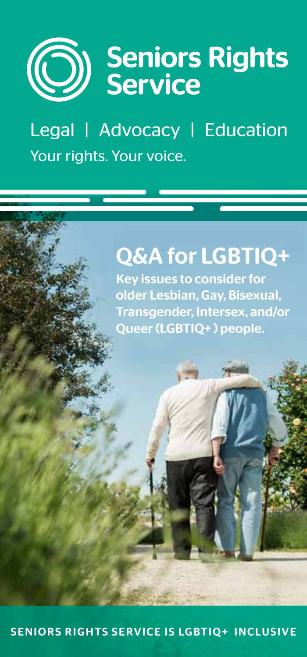

Legal | Advocacy | Education Your rights. Your voice.

# Q&A for LGBTIQ+

Key issues to consider for older Lesbian, Gay, Bisexual, Transgender, Intersex, and/or Queer (LGBTIQ+ ) people.

SENIORS RIGHTS SERVICE IS LGBTIQ+ INCLUSIVE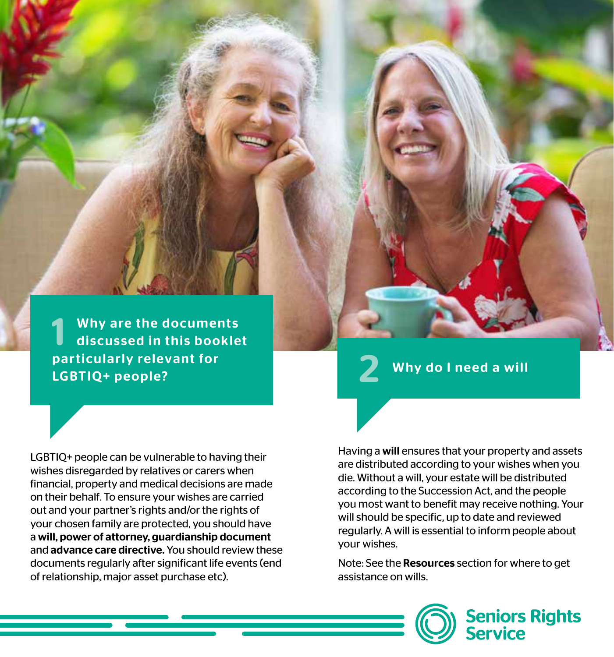Why are the documents discussed in this booklet particularly relevant for the same of the set of the USB and the USB and the USB and the USB and the USB and t<br>LGBTIQ+ people?

LGBTIQ+ people can be vulnerable to having their wishes disregarded by relatives or carers when financial, property and medical decisions are made on their behalf. To ensure your wishes are carried out and your partner's rights and/or the rights of your chosen family are protected, you should have a will, power of attorney, guardianship document and advance care directive. You should review these documents regularly after significant life events (end of relationship, major asset purchase etc).

Having a will ensures that your property and assets are distributed according to your wishes when you die. Without a will, your estate will be distributed according to the Succession Act, and the people you most want to benefit may receive nothing. Your will should be specific, up to date and reviewed regularly. A will is essential to inform people about your wishes.

Note: See the Resources section for where to get assistance on wills.

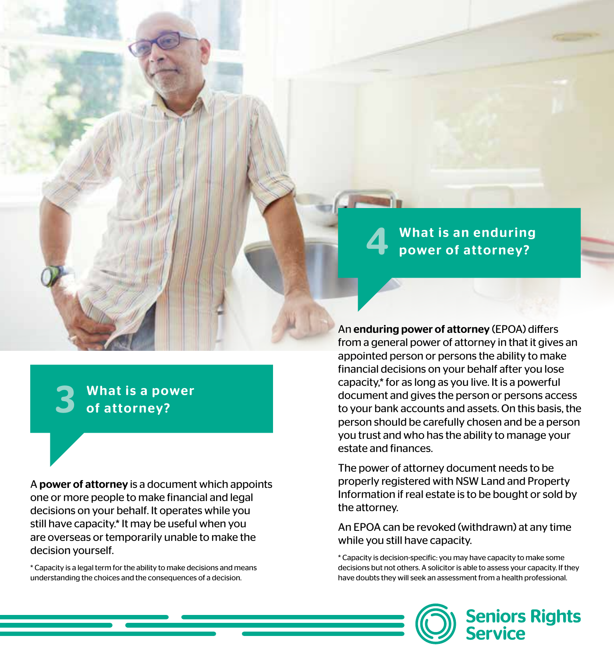What is a power of attorney?

A power of attorney is a document which appoints one or more people to make financial and legal decisions on your behalf. It operates while you still have capacity.\* It may be useful when you are overseas or temporarily unable to make the decision yourself.

\* Capacity is a legal term for the ability to make decisions and means understanding the choices and the consequences of a decision.

# 4 What is an enduring power of attorney?

An enduring power of attorney (EPOA) differs from a general power of attorney in that it gives an appointed person or persons the ability to make financial decisions on your behalf after you lose capacity,\* for as long as you live. It is a powerful document and gives the person or persons access to your bank accounts and assets. On this basis, the person should be carefully chosen and be a person you trust and who has the ability to manage your estate and finances.

The power of attorney document needs to be properly registered with NSW Land and Property Information if real estate is to be bought or sold by the attorney.

An EPOA can be revoked (withdrawn) at any time while you still have capacity.

\* Capacity is decision-specific: you may have capacity to make some decisions but not others. A solicitor is able to assess your capacity. If they have doubts they will seek an assessment from a health professional.

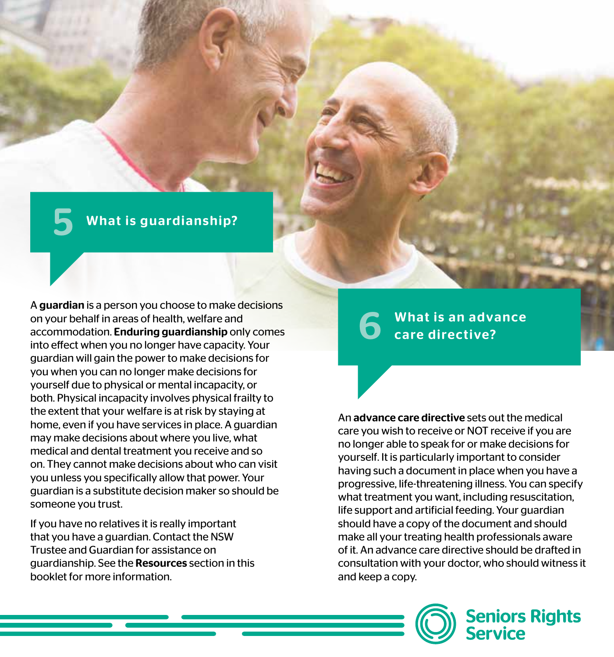### What is guardianship?

A guardian is a person you choose to make decisions on your behalf in areas of health, welfare and accommodation. Enduring guardianship only comes into effect when you no longer have capacity. Your guardian will gain the power to make decisions for you when you can no longer make decisions for yourself due to physical or mental incapacity, or both. Physical incapacity involves physical frailty to the extent that your welfare is at risk by staying at home, even if you have services in place. A guardian may make decisions about where you live, what medical and dental treatment you receive and so on. They cannot make decisions about who can visit you unless you specifically allow that power. Your guardian is a substitute decision maker so should be someone you trust.

If you have no relatives it is really important that you have a guardian. Contact the NSW Trustee and Guardian for assistance on guardianship. See the Resources section in this booklet for more information.

## What is an advance care directive?

An advance care directive sets out the medical care you wish to receive or NOT receive if you are no longer able to speak for or make decisions for yourself. It is particularly important to consider having such a document in place when you have a progressive, life-threatening illness. You can specify what treatment you want, including resuscitation, life support and artificial feeding. Your guardian should have a copy of the document and should make all your treating health professionals aware of it. An advance care directive should be drafted in consultation with your doctor, who should witness it and keep a copy.



**Seniors Rights<br>Service**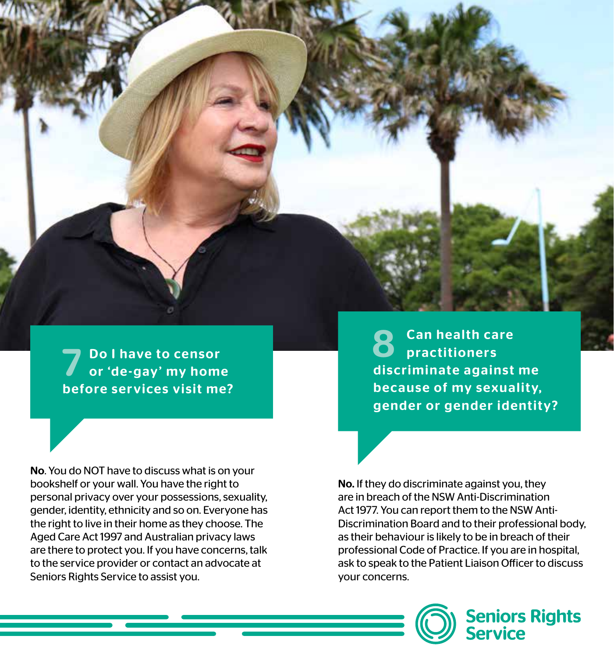

**7** Do I have to censor<br>
or 'de-gay' my home before services visit me?

No. You do NOT have to discuss what is on your bookshelf or your wall. You have the right to personal privacy over your possessions, sexuality, gender, identity, ethnicity and so on. Everyone has the right to live in their home as they choose. The Aged Care Act 1997 and Australian privacy laws are there to protect you. If you have concerns, talk to the service provider or contact an advocate at Seniors Rights Service to assist you.

**Can health care practitioners** discriminate against me because of my sexuality, gender or gender identity?

No. If they do discriminate against you, they are in breach of the NSW Anti-Discrimination Act 1977. You can report them to the NSW Anti-Discrimination Board and to their professional body, as their behaviour is likely to be in breach of their professional Code of Practice. If you are in hospital, ask to speak to the Patient Liaison Officer to discuss your concerns.



**Seniors Rights<br>Service**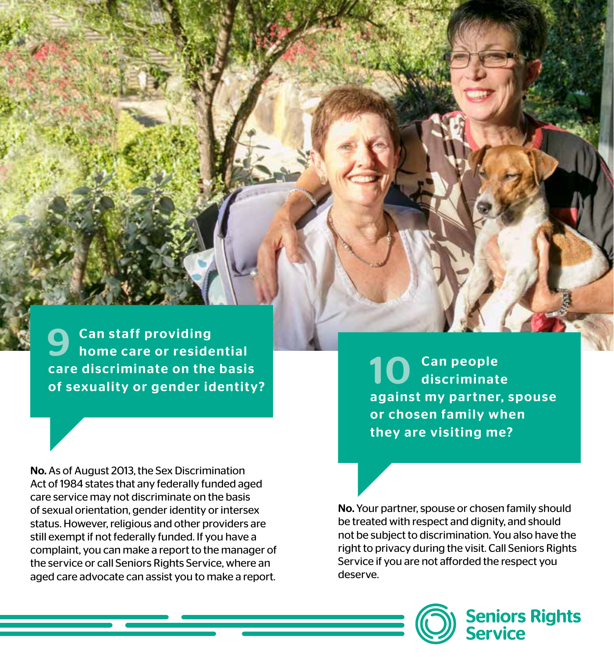**Can staff providing** home care or residential care discriminate on the basis of sexuality or gender identity?

No. As of August 2013, the Sex Discrimination Act of 1984 states that any federally funded aged care service may not discriminate on the basis of sexual orientation, gender identity or intersex status. However, religious and other providers are still exempt if not federally funded. If you have a complaint, you can make a report to the manager of the service or call Seniors Rights Service, where an aged care advocate can assist you to make a report.

10 Can people<br>10 discriminate against my partner, spouse or chosen family when they are visiting me?

No. Your partner, spouse or chosen family should be treated with respect and dignity, and should not be subject to discrimination. You also have the right to privacy during the visit. Call Seniors Rights Service if you are not afforded the respect you deserve.

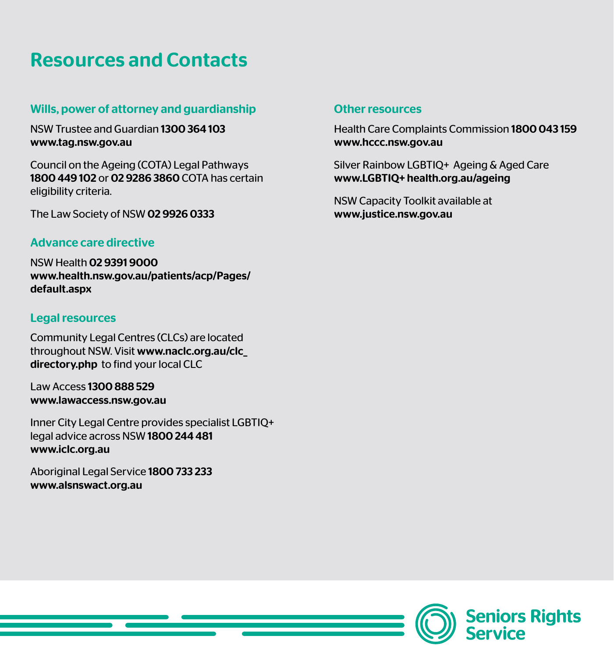## Resources and Contacts

#### Wills, power of attorney and guardianship

NSW Trustee and Guardian 1300 364 103 [www.tag.nsw.gov.au](http://www.tag.nsw.gov.au)

Council on the Ageing (COTA) Legal Pathways 1800 449 102 or 02 9286 3860 COTA has certain eligibility criteria.

The Law Society of NSW 02 9926 0333

#### Advance care directive

NSW Health 02 9391 9000 [www.health.nsw.gov.au/patients/acp/Pages/](http://www.health.nsw.gov.au/patients/acp/Pages/default.aspx) [default.aspx](http://www.health.nsw.gov.au/patients/acp/Pages/default.aspx)

#### Legal resources

Community Legal Centres (CLCs) are located throughout NSW. Visit [www.naclc.org.au/clc\\_](http://www.naclc.org.au/clc_directory.php) [directory.php](http://www.naclc.org.au/clc_directory.php) to find your local CLC

Law Access 1300 888 529 [www.lawaccess.nsw.gov.au](http://www.lawaccess.nsw.gov.au) 

Inner City Legal Centre provides specialist LGBTIQ+ legal advice across NSW 1800 244 481 [www.iclc.org.au](http://www.iclc.org.au)

Aboriginal Legal Service 1800 733 233 [www.alsnswact.org.au](http://www.alsnswact.org.au)

#### Other resources

Health Care Complaints Commission 1800 043 159 [www.hccc.nsw.gov.au](http://www.hccc.nsw.gov.au)

Silver Rainbow LGBTIQ+ Ageing & Aged Care [www.LGBTIQ+ health.org.au/ageing](http://www.lgbtihealth.org.au/ageing) 

NSW Capacity Toolkit available at [www.justice.nsw.gov.au](http://www.justice.nsw.gov.au)

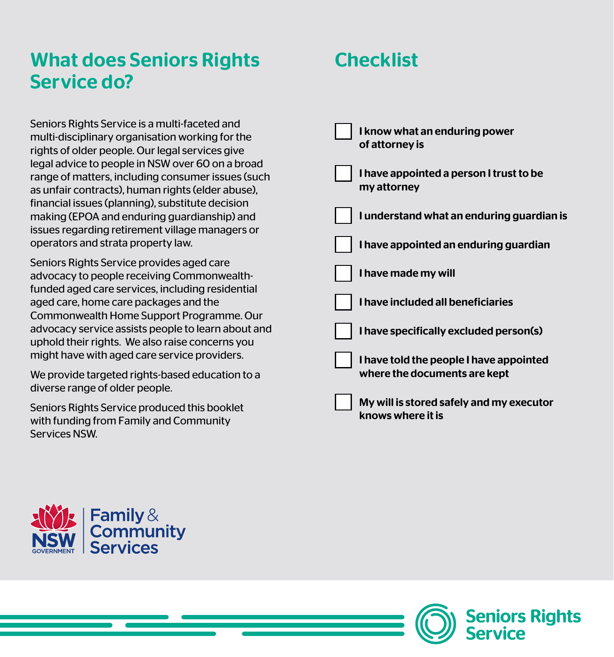## What does Seniors Rights Service do?

Seniors Rights Service is a multi-faceted and multi-disciplinary organisation working for the rights of older people. Our legal services give legal advice to people in NSW over 60 on a broad range of matters, including consumer issues (such as unfair contracts), human rights (elder abuse), financial issues (planning), substitute decision making (EPOA and enduring guardianship) and issues regarding retirement village managers or operators and strata property law.

Seniors Rights Service provides aged care advocacy to people receiving Commonwealthfunded aged care services, including residential aged care, home care packages and the Commonwealth Home Support Programme. Our advocacy service assists people to learn about and uphold their rights. We also raise concerns you might have with aged care service providers.

We provide targeted rights-based education to a diverse range of older people.

Seniors Rights Service produced this booklet with funding from Family and Community Services NSW.

## **Checklist**

| I know what an enduring power<br>of attorney is                         |
|-------------------------------------------------------------------------|
| I have appointed a person I trust to be<br>my attorney                  |
| I understand what an enduring guardian is                               |
| I have appointed an enduring guardian                                   |
| I have made my will                                                     |
| I have included all beneficiaries                                       |
| I have specifically excluded person(s)                                  |
| I have told the people I have appointed<br>where the documents are kept |
| My will is stored safely and my executor<br>knows where it is           |